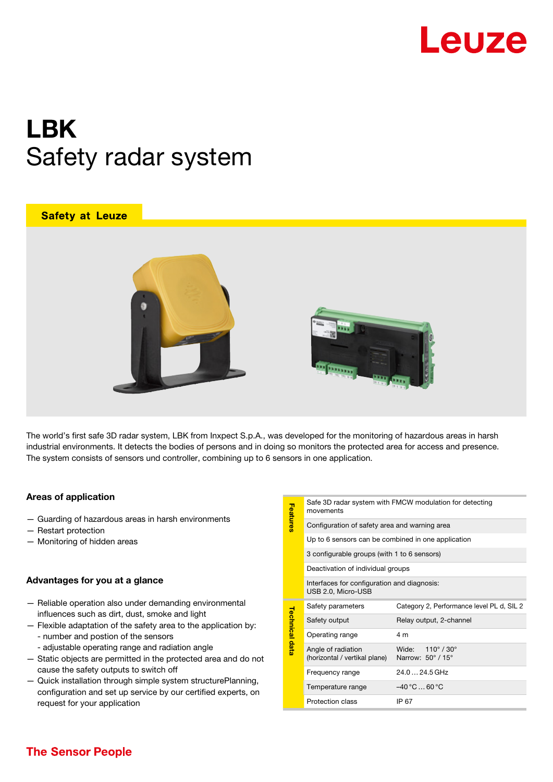

# LBK Safety radar system

### **Safety at Leuze**





The world's first safe 3D radar system, LBK from Inxpect S.p.A., was developed for the monitoring of hazardous areas in harsh industrial environments. It detects the bodies of persons and in doing so monitors the protected area for access and presence. The system consists of sensors und controller, combining up to 6 sensors in one application.

#### Areas of application

- Guarding of hazardous areas in harsh environments
- Restart protection
- Monitoring of hidden areas

#### Advantages for you at a glance

- Reliable operation also under demanding environmental influences such as dirt, dust, smoke and light
- Flexible adaptation of the safety area to the application by: - number and postion of the sensors
	- adjustable operating range and radiation angle
- Static objects are permitted in the protected area and do not cause the safety outputs to switch off
- Quick installation through simple system structurePlanning, configuration and set up service by our certified experts, on request for your application

| Features              | Safe 3D radar system with FMCW modulation for detecting<br>movements |                                           |
|-----------------------|----------------------------------------------------------------------|-------------------------------------------|
|                       | Configuration of safety area and warning area                        |                                           |
|                       | Up to 6 sensors can be combined in one application                   |                                           |
|                       | 3 configurable groups (with 1 to 6 sensors)                          |                                           |
|                       | Deactivation of individual groups                                    |                                           |
|                       | Interfaces for configuration and diagnosis:<br>USB 2.0, Micro-USB    |                                           |
| <b>Technical data</b> | Safety parameters                                                    | Category 2, Performance level PL d, SIL 2 |
|                       | Safety output                                                        | Relay output, 2-channel                   |
|                       | Operating range                                                      | 4 m                                       |
|                       | Angle of radiation<br>(horizontal / vertikal plane)                  | Wide: 110° / 30°<br>Narrow: 50° / 15°     |
|                       | Frequency range                                                      | 24.0  24.5 GHz                            |
|                       | Temperature range                                                    | $-40 °C 60 °C$                            |
|                       | Protection class                                                     | IP 67                                     |
|                       |                                                                      |                                           |

## **The Sensor People**